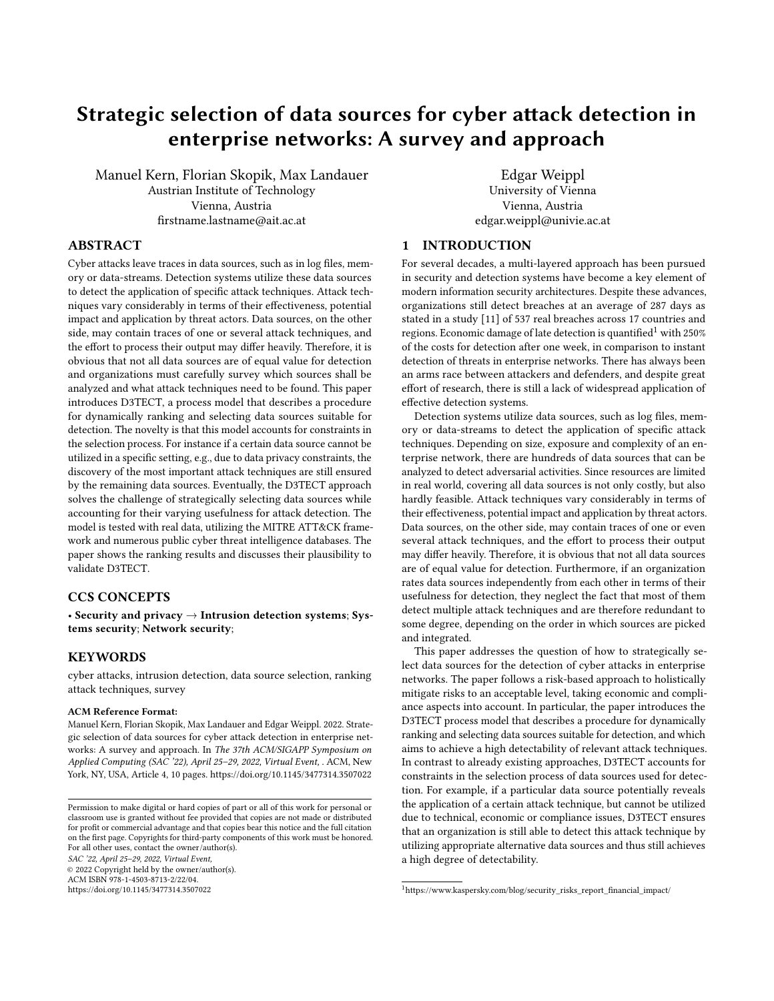# Strategic selection of data sources for cyber attack detection in enterprise networks: A survey and approach

Manuel Kern, Florian Skopik, Max Landauer Austrian Institute of Technology Vienna, Austria firstname.lastname@ait.ac.at

Edgar Weippl University of Vienna Vienna, Austria edgar.weippl@univie.ac.at

# ABSTRACT

Cyber attacks leave traces in data sources, such as in log files, memory or data-streams. Detection systems utilize these data sources to detect the application of specific attack techniques. Attack techniques vary considerably in terms of their effectiveness, potential impact and application by threat actors. Data sources, on the other side, may contain traces of one or several attack techniques, and the effort to process their output may differ heavily. Therefore, it is obvious that not all data sources are of equal value for detection and organizations must carefully survey which sources shall be analyzed and what attack techniques need to be found. This paper introduces D3TECT, a process model that describes a procedure for dynamically ranking and selecting data sources suitable for detection. The novelty is that this model accounts for constraints in the selection process. For instance if a certain data source cannot be utilized in a specific setting, e.g., due to data privacy constraints, the discovery of the most important attack techniques are still ensured by the remaining data sources. Eventually, the D3TECT approach solves the challenge of strategically selecting data sources while accounting for their varying usefulness for attack detection. The model is tested with real data, utilizing the MITRE ATT&CK framework and numerous public cyber threat intelligence databases. The paper shows the ranking results and discusses their plausibility to validate D3TECT.

# CCS CONCEPTS

• Security and privacy → Intrusion detection systems; Systems security; Network security;

## **KEYWORDS**

cyber attacks, intrusion detection, data source selection, ranking attack techniques, survey

#### ACM Reference Format:

Manuel Kern, Florian Skopik, Max Landauer and Edgar Weippl. 2022. Strategic selection of data sources for cyber attack detection in enterprise networks: A survey and approach. In The 37th ACM/SIGAPP Symposium on Applied Computing (SAC '22), April 25–29, 2022, Virtual Event, . ACM, New York, NY, USA, Article 4, [10](#page-9-0) pages.<https://doi.org/10.1145/3477314.3507022>

© 2022 Copyright held by the owner/author(s). ACM ISBN 978-1-4503-8713-2/22/04. <https://doi.org/10.1145/3477314.3507022>

# 1 INTRODUCTION

For several decades, a multi-layered approach has been pursued in security and detection systems have become a key element of modern information security architectures. Despite these advances, organizations still detect breaches at an average of 287 days as stated in a study [\[11\]](#page-9-1) of 537 real breaches across 17 countries and regions. Economic damage of late detection is quantified<sup>[1](#page-0-0)</sup> with 250% of the costs for detection after one week, in comparison to instant detection of threats in enterprise networks. There has always been an arms race between attackers and defenders, and despite great effort of research, there is still a lack of widespread application of effective detection systems.

Detection systems utilize data sources, such as log files, memory or data-streams to detect the application of specific attack techniques. Depending on size, exposure and complexity of an enterprise network, there are hundreds of data sources that can be analyzed to detect adversarial activities. Since resources are limited in real world, covering all data sources is not only costly, but also hardly feasible. Attack techniques vary considerably in terms of their effectiveness, potential impact and application by threat actors. Data sources, on the other side, may contain traces of one or even several attack techniques, and the effort to process their output may differ heavily. Therefore, it is obvious that not all data sources are of equal value for detection. Furthermore, if an organization rates data sources independently from each other in terms of their usefulness for detection, they neglect the fact that most of them detect multiple attack techniques and are therefore redundant to some degree, depending on the order in which sources are picked and integrated.

This paper addresses the question of how to strategically select data sources for the detection of cyber attacks in enterprise networks. The paper follows a risk-based approach to holistically mitigate risks to an acceptable level, taking economic and compliance aspects into account. In particular, the paper introduces the D3TECT process model that describes a procedure for dynamically ranking and selecting data sources suitable for detection, and which aims to achieve a high detectability of relevant attack techniques. In contrast to already existing approaches, D3TECT accounts for constraints in the selection process of data sources used for detection. For example, if a particular data source potentially reveals the application of a certain attack technique, but cannot be utilized due to technical, economic or compliance issues, D3TECT ensures that an organization is still able to detect this attack technique by utilizing appropriate alternative data sources and thus still achieves a high degree of detectability.

Permission to make digital or hard copies of part or all of this work for personal or classroom use is granted without fee provided that copies are not made or distributed for profit or commercial advantage and that copies bear this notice and the full citation on the first page. Copyrights for third-party components of this work must be honored. For all other uses, contact the owner/author(s). SAC '22, April 25–29, 2022, Virtual Event,

<span id="page-0-0"></span><sup>1</sup>https://www.kaspersky.com/blog/security\_risks\_report\_financial\_impact/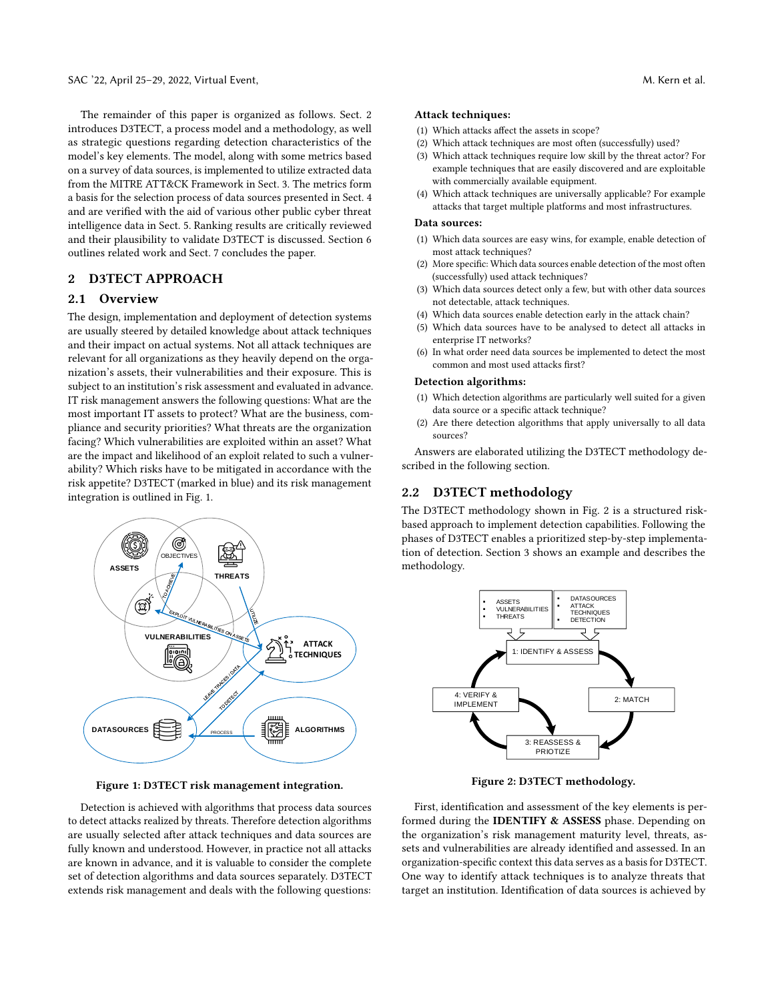The remainder of this paper is organized as follows. Sect. [2](#page-1-0) introduces D3TECT, a process model and a methodology, as well as strategic questions regarding detection characteristics of the model's key elements. The model, along with some metrics based on a survey of data sources, is implemented to utilize extracted data from the MITRE ATT&CK Framework in Sect. [3.](#page-2-0) The metrics form a basis for the selection process of data sources presented in Sect. [4](#page-4-0) and are verified with the aid of various other public cyber threat intelligence data in Sect. [5.](#page-6-0) Ranking results are critically reviewed and their plausibility to validate D3TECT is discussed. Section [6](#page-9-2) outlines related work and Sect. [7](#page-9-3) concludes the paper.

# <span id="page-1-0"></span>2 D3TECT APPROACH

### 2.1 Overview

The design, implementation and deployment of detection systems are usually steered by detailed knowledge about attack techniques and their impact on actual systems. Not all attack techniques are relevant for all organizations as they heavily depend on the organization's assets, their vulnerabilities and their exposure. This is subject to an institution's risk assessment and evaluated in advance. IT risk management answers the following questions: What are the most important IT assets to protect? What are the business, compliance and security priorities? What threats are the organization facing? Which vulnerabilities are exploited within an asset? What are the impact and likelihood of an exploit related to such a vulnerability? Which risks have to be mitigated in accordance with the risk appetite? D3TECT (marked in blue) and its risk management integration is outlined in Fig. [1.](#page-1-1)

<span id="page-1-1"></span>

Figure 1: D3TECT risk management integration.

Detection is achieved with algorithms that process data sources to detect attacks realized by threats. Therefore detection algorithms are usually selected after attack techniques and data sources are fully known and understood. However, in practice not all attacks are known in advance, and it is valuable to consider the complete set of detection algorithms and data sources separately. D3TECT extends risk management and deals with the following questions:

#### Attack techniques:

- (1) Which attacks affect the assets in scope?
- (2) Which attack techniques are most often (successfully) used?
- (3) Which attack techniques require low skill by the threat actor? For example techniques that are easily discovered and are exploitable with commercially available equipment.
- (4) Which attack techniques are universally applicable? For example attacks that target multiple platforms and most infrastructures.

#### Data sources:

- (1) Which data sources are easy wins, for example, enable detection of most attack techniques?
- (2) More specific: Which data sources enable detection of the most often (successfully) used attack techniques?
- (3) Which data sources detect only a few, but with other data sources not detectable, attack techniques.
- (4) Which data sources enable detection early in the attack chain?
- (5) Which data sources have to be analysed to detect all attacks in enterprise IT networks?
- (6) In what order need data sources be implemented to detect the most common and most used attacks first?

#### Detection algorithms:

- (1) Which detection algorithms are particularly well suited for a given data source or a specific attack technique?
- (2) Are there detection algorithms that apply universally to all data sources?

Answers are elaborated utilizing the D3TECT methodology described in the following section.

# 2.2 D3TECT methodology

The D3TECT methodology shown in Fig. [2](#page-1-2) is a structured riskbased approach to implement detection capabilities. Following the phases of D3TECT enables a prioritized step-by-step implementation of detection. Section [3](#page-2-0) shows an example and describes the methodology.

<span id="page-1-2"></span>

Figure 2: D3TECT methodology.

First, identification and assessment of the key elements is performed during the IDENTIFY & ASSESS phase. Depending on the organization's risk management maturity level, threats, assets and vulnerabilities are already identified and assessed. In an organization-specific context this data serves as a basis for D3TECT. One way to identify attack techniques is to analyze threats that target an institution. Identification of data sources is achieved by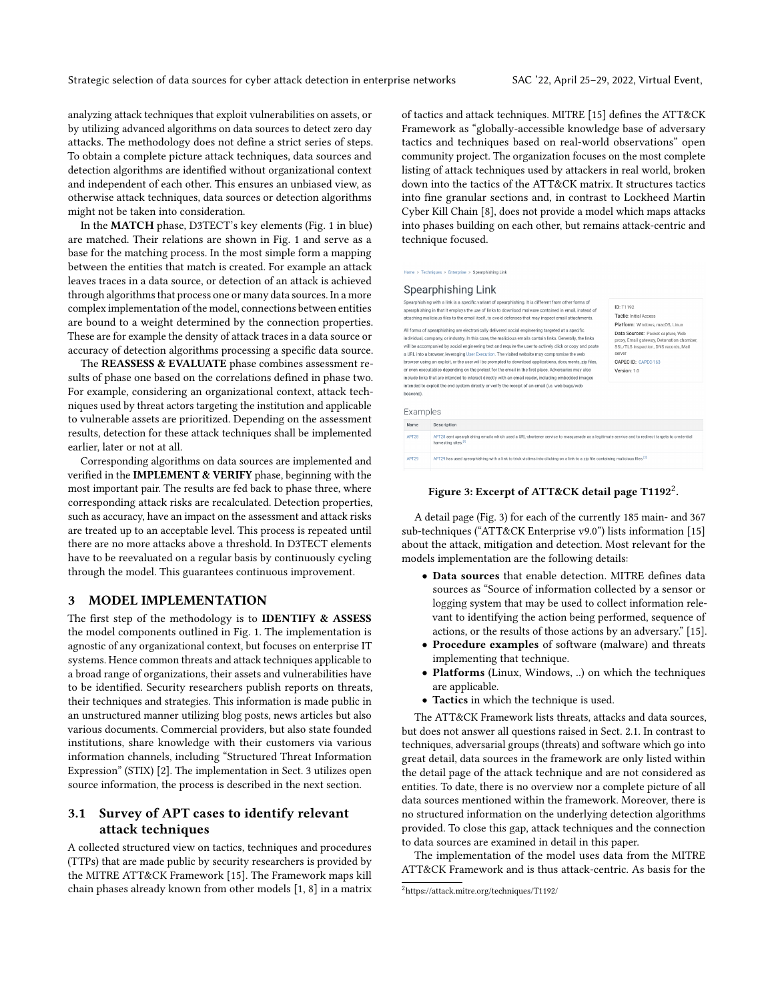analyzing attack techniques that exploit vulnerabilities on assets, or by utilizing advanced algorithms on data sources to detect zero day attacks. The methodology does not define a strict series of steps. To obtain a complete picture attack techniques, data sources and detection algorithms are identified without organizational context and independent of each other. This ensures an unbiased view, as otherwise attack techniques, data sources or detection algorithms might not be taken into consideration.

In the MATCH phase, D3TECT's key elements (Fig. [1](#page-1-1) in blue) are matched. Their relations are shown in Fig. [1](#page-1-1) and serve as a base for the matching process. In the most simple form a mapping between the entities that match is created. For example an attack leaves traces in a data source, or detection of an attack is achieved through algorithms that process one or many data sources. In a more complex implementation of the model, connections between entities are bound to a weight determined by the connection properties. These are for example the density of attack traces in a data source or accuracy of detection algorithms processing a specific data source.

The REASSESS & EVALUATE phase combines assessment results of phase one based on the correlations defined in phase two. For example, considering an organizational context, attack techniques used by threat actors targeting the institution and applicable to vulnerable assets are prioritized. Depending on the assessment results, detection for these attack techniques shall be implemented earlier, later or not at all.

Corresponding algorithms on data sources are implemented and verified in the IMPLEMENT & VERIFY phase, beginning with the most important pair. The results are fed back to phase three, where corresponding attack risks are recalculated. Detection properties, such as accuracy, have an impact on the assessment and attack risks are treated up to an acceptable level. This process is repeated until there are no more attacks above a threshold. In D3TECT elements have to be reevaluated on a regular basis by continuously cycling through the model. This guarantees continuous improvement.

#### <span id="page-2-0"></span>3 MODEL IMPLEMENTATION

The first step of the methodology is to IDENTIFY & ASSESS the model components outlined in Fig. [1.](#page-1-1) The implementation is agnostic of any organizational context, but focuses on enterprise IT systems. Hence common threats and attack techniques applicable to a broad range of organizations, their assets and vulnerabilities have to be identified. Security researchers publish reports on threats, their techniques and strategies. This information is made public in an unstructured manner utilizing blog posts, news articles but also various documents. Commercial providers, but also state founded institutions, share knowledge with their customers via various information channels, including "Structured Threat Information Expression" (STIX) [\[2\]](#page-9-4). The implementation in Sect. [3](#page-2-0) utilizes open source information, the process is described in the next section.

# 3.1 Survey of APT cases to identify relevant attack techniques

A collected structured view on tactics, techniques and procedures (TTPs) that are made public by security researchers is provided by the MITRE ATT&CK Framework [\[15\]](#page-9-5). The Framework maps kill chain phases already known from other models [\[1,](#page-9-6) [8\]](#page-9-7) in a matrix of tactics and attack techniques. MITRE [\[15\]](#page-9-5) defines the ATT&CK Framework as "globally-accessible knowledge base of adversary tactics and techniques based on real-world observations" open community project. The organization focuses on the most complete listing of attack techniques used by attackers in real world, broken down into the tactics of the ATT&CK matrix. It structures tactics into fine granular sections and, in contrast to Lockheed Martin Cyber Kill Chain [\[8\]](#page-9-7), does not provide a model which maps attacks into phases building on each other, but remains attack-centric and technique focused.

<span id="page-2-2"></span>Home > Techniques > Enterprise > Spearphishing Link

#### Spearphishing Link

|                       | Spearphishing with a link is a specific variant of spearphishing. It is different from other forms of<br>spearphishing in that it employs the use of links to download malware contained in email, instead of<br>attaching malicious files to the email itself, to avoid defenses that may inspect email attachments.<br>All forms of spearphishing are electronically delivered social engineering targeted at a specific<br>individual, company, or industry. In this case, the malicious emails contain links. Generally, the links<br>will be accompanied by social engineering text and require the user to actively click or copy and paste<br>a URL into a browser, leveraging User Execution. The visited website may compromise the web<br>browser using an exploit, or the user will be prompted to download applications, documents, zip files,<br>or even executables depending on the pretext for the email in the first place. Adversaries may also<br>include links that are intended to interact directly with an email reader, including embedded images | ID: T1192<br>Tactic: Initial Access<br>Platform: Windows, macOS, Linux<br>Data Sources: Packet capture, Web<br>proxy, Email gateway, Detonation chamber,<br>SSL/TLS inspection, DNS records, Mail<br>server<br>CAPEC ID: CAPEC-163<br>Version: 1.0 |  |  |  |  |
|-----------------------|---------------------------------------------------------------------------------------------------------------------------------------------------------------------------------------------------------------------------------------------------------------------------------------------------------------------------------------------------------------------------------------------------------------------------------------------------------------------------------------------------------------------------------------------------------------------------------------------------------------------------------------------------------------------------------------------------------------------------------------------------------------------------------------------------------------------------------------------------------------------------------------------------------------------------------------------------------------------------------------------------------------------------------------------------------------------------|----------------------------------------------------------------------------------------------------------------------------------------------------------------------------------------------------------------------------------------------------|--|--|--|--|
| beacons).<br>Examples | intended to exploit the end system directly or verify the receipt of an email (i.e. web bugs/web                                                                                                                                                                                                                                                                                                                                                                                                                                                                                                                                                                                                                                                                                                                                                                                                                                                                                                                                                                          |                                                                                                                                                                                                                                                    |  |  |  |  |
| Name                  | Description                                                                                                                                                                                                                                                                                                                                                                                                                                                                                                                                                                                                                                                                                                                                                                                                                                                                                                                                                                                                                                                               |                                                                                                                                                                                                                                                    |  |  |  |  |
| APT28                 | APT28 sent spearphishing emails which used a URL-shortener service to masquerade as a legitimate service and to redirect targets to credential<br>harvesting sites 1                                                                                                                                                                                                                                                                                                                                                                                                                                                                                                                                                                                                                                                                                                                                                                                                                                                                                                      |                                                                                                                                                                                                                                                    |  |  |  |  |

## Figure 3: Excerpt of ATT&CK detail page T119[2](#page-2-1) $^2\!$ .

APT29 has used spearphishing with a link to trick victims into clicking on a link to a zip file containing malicious files.<sup>1</sup>

A detail page (Fig. [3\)](#page-2-2) for each of the currently 185 main- and 367 sub-techniques ("ATT&CK Enterprise v9.0") lists information [\[15\]](#page-9-5) about the attack, mitigation and detection. Most relevant for the models implementation are the following details:

- Data sources that enable detection. MITRE defines data sources as "Source of information collected by a sensor or logging system that may be used to collect information relevant to identifying the action being performed, sequence of actions, or the results of those actions by an adversary." [\[15\]](#page-9-5).
- Procedure examples of software (malware) and threats implementing that technique.
- Platforms (Linux, Windows, ..) on which the techniques are applicable.
- Tactics in which the technique is used.

The ATT&CK Framework lists threats, attacks and data sources, but does not answer all questions raised in Sect. [2.1.](#page-1-1) In contrast to techniques, adversarial groups (threats) and software which go into great detail, data sources in the framework are only listed within the detail page of the attack technique and are not considered as entities. To date, there is no overview nor a complete picture of all data sources mentioned within the framework. Moreover, there is no structured information on the underlying detection algorithms provided. To close this gap, attack techniques and the connection to data sources are examined in detail in this paper.

The implementation of the model uses data from the MITRE ATT&CK Framework and is thus attack-centric. As basis for the

<span id="page-2-1"></span><sup>2</sup>https://attack.mitre.org/techniques/T1192/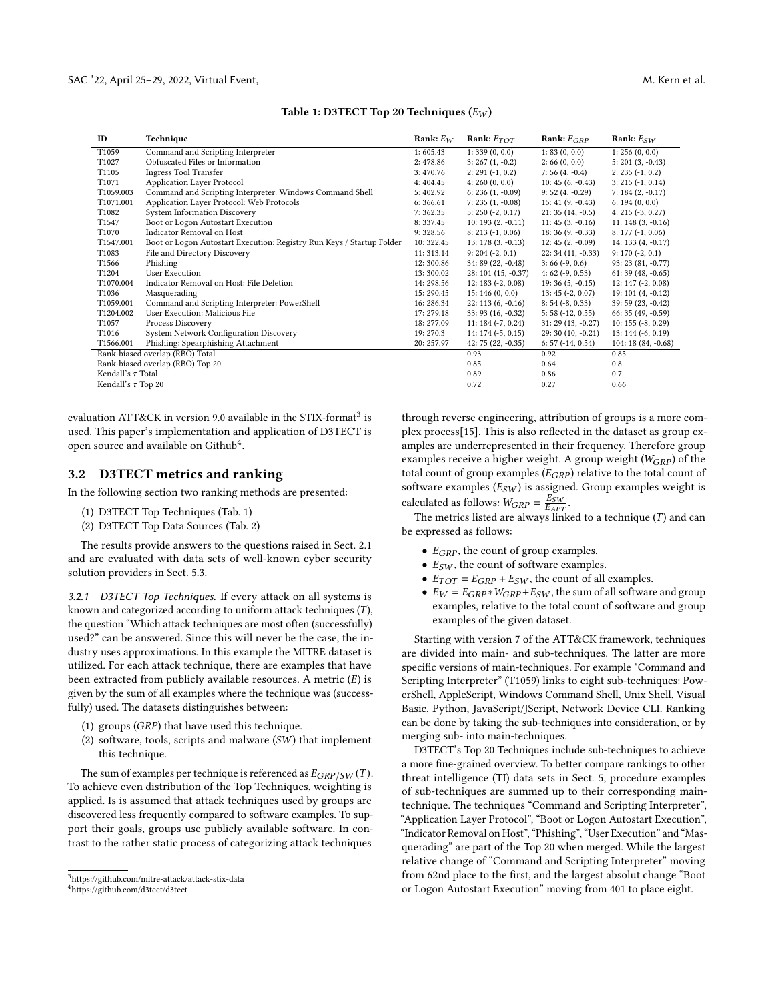|  |  | Table 1: D3TECT Top 20 Techniques $\left( E_W \right)$ |  |
|--|--|--------------------------------------------------------|--|
|  |  |                                                        |  |

<span id="page-3-2"></span>

| ID                      | Technique                                                             | Rank: $E_W$ | Rank: $E_{TOT}$      | Rank: $E_{GRP}$     | Rank: $E_{SW}$       |
|-------------------------|-----------------------------------------------------------------------|-------------|----------------------|---------------------|----------------------|
| T1059                   | Command and Scripting Interpreter                                     | 1:605.43    | 1:339(0, 0.0)        | 1: 83(0, 0.0)       | 1: 256(0, 0.0)       |
| T1027                   | Obfuscated Files or Information                                       | 2:478.86    | $3:267(1,-0.2)$      | 2:66(0, 0.0)        | $5: 201 (3, -0.43)$  |
| T1105                   | Ingress Tool Transfer                                                 | 3:470.76    | $2: 291 (-1, 0.2)$   | $7:56(4, -0.4)$     | $2: 235 (-1, 0.2)$   |
| T1071                   | <b>Application Layer Protocol</b>                                     | 4:404.45    | 4:260(0, 0.0)        | $10: 45(6, -0.43)$  | $3: 215 (-1, 0.14)$  |
| T1059.003               | Command and Scripting Interpreter: Windows Command Shell              | 5:402.92    | $6: 236(1, -0.09)$   | $9:52(4,-0.29)$     | $7:184(2,-0.17)$     |
| T1071.001               | Application Layer Protocol: Web Protocols                             | 6:366.61    | $7: 235(1, -0.08)$   | $15: 41(9, -0.43)$  | 6: 194(0, 0.0)       |
| T1082                   | System Information Discovery                                          | 7:362.35    | $5: 250 (-2, 0.17)$  | $21:35(14,-0.5)$    | $4: 215 (-3, 0.27)$  |
| T1547                   | Boot or Logon Autostart Execution                                     | 8: 337.45   | $10: 193(2, -0.11)$  | $11: 45(3, -0.16)$  | $11: 148(3, -0.16)$  |
| T <sub>1070</sub>       | Indicator Removal on Host                                             | 9:328.56    | $8: 213 (-1, 0.06)$  | $18:36(9,-0.33)$    | $8: 177 (-1, 0.06)$  |
| T1547.001               | Boot or Logon Autostart Execution: Registry Run Keys / Startup Folder | 10:322.45   | $13: 178(3, -0.13)$  | $12: 45(2, -0.09)$  | 14: 133 $(4, -0.17)$ |
| T1083                   | File and Directory Discovery                                          | 11: 313.14  | $9: 204 (-2, 0.1)$   | $22: 34(11, -0.33)$ | $9:170(-2, 0.1)$     |
| T <sub>1566</sub>       | Phishing                                                              | 12:300.86   | $34:89(22,-0.48)$    | $3:66(-9, 0.6)$     | 93: 23 (81, -0.77)   |
| T1204                   | <b>User Execution</b>                                                 | 13:300.02   | $28: 101(15, -0.37)$ | $4:62(-9, 0.53)$    | $61:39(48,-0.65)$    |
| T1070.004               | Indicator Removal on Host: File Deletion                              | 14: 298.56  | $12: 183 (-2, 0.08)$ | $19:36(5, -0.15)$   | $12: 147 (-2, 0.08)$ |
| T1036                   | Masquerading                                                          | 15:290.45   | 15:146(0, 0.0)       | $13: 45 (-2, 0.07)$ | $19:101(4,-0.12)$    |
| T1059.001               | Command and Scripting Interpreter: PowerShell                         | 16: 286.34  | $22: 113(6, -0.16)$  | $8: 54 (-8, 0.33)$  | 39: 59 (23, -0.42)   |
| T1204.002               | User Execution: Malicious File                                        | 17: 279.18  | $33:93(16, -0.32)$   | $5:58(-12, 0.55)$   | $66:35(49,-0.59)$    |
| T1057                   | Process Discovery                                                     | 18: 277.09  | $11: 184 (-7, 0.24)$ | $31: 29(13, -0.27)$ | $10: 155 (-8, 0.29)$ |
| T1016                   | System Network Configuration Discovery                                | 19:270.3    | $14: 174 (-5, 0.15)$ | 29: 30 (10, -0.21)  | $13:144(-6, 0.19)$   |
| T1566.001               | Phishing: Spearphishing Attachment                                    | 20: 257.97  | $42:75(22,-0.35)$    | $6: 57 (-14, 0.54)$ | 104: 18 (84, -0.68)  |
|                         | Rank-biased overlap (RBO) Total                                       |             | 0.93                 | 0.92                | 0.85                 |
|                         | Rank-biased overlap (RBO) Top 20                                      |             | 0.85                 | 0.64                | 0.8                  |
| Kendall's $\tau$ Total  |                                                                       |             | 0.89                 | 0.86                | 0.7                  |
| Kendall's $\tau$ Top 20 |                                                                       |             | 0.72                 | 0.27                | 0.66                 |

evaluation ATT&CK in version 9.0 available in the STIX-format $^3$  $^3$  is used. This paper's implementation and application of D3TECT is open source and available on Github<sup>[4](#page-3-1)</sup>.

### <span id="page-3-5"></span>3.2 D3TECT metrics and ranking

In the following section two ranking methods are presented:

- (1) D3TECT Top Techniques (Tab. [1\)](#page-3-2)
- (2) D3TECT Top Data Sources (Tab. [2\)](#page-4-1)

The results provide answers to the questions raised in Sect. [2.1](#page-1-1) and are evaluated with data sets of well-known cyber security solution providers in Sect. [5.3.](#page-7-0)

<span id="page-3-3"></span>3.2.1 D3TECT Top Techniques. If every attack on all systems is known and categorized according to uniform attack techniques  $(T)$ , the question "Which attack techniques are most often (successfully) used?" can be answered. Since this will never be the case, the industry uses approximations. In this example the MITRE dataset is utilized. For each attack technique, there are examples that have been extracted from publicly available resources. A metric  $(E)$  is given by the sum of all examples where the technique was (successfully) used. The datasets distinguishes between:

- (1) groups  $(GRP)$  that have used this technique.
- <span id="page-3-4"></span>(2) software, tools, scripts and malware  $(SW)$  that implement this technique.

The sum of examples per technique is referenced as  $E_{GRP/SW}(T)$ . To achieve even distribution of the Top Techniques, weighting is applied. Is is assumed that attack techniques used by groups are discovered less frequently compared to software examples. To support their goals, groups use publicly available software. In contrast to the rather static process of categorizing attack techniques

through reverse engineering, attribution of groups is a more complex process[\[15\]](#page-9-5). This is also reflected in the dataset as group examples are underrepresented in their frequency. Therefore group examples receive a higher weight. A group weight  $(W_{GRP})$  of the total count of group examples  $(E_{GRP})$  relative to the total count of software examples  $(E_{SW})$  is assigned. Group examples weight is calculated as follows:  $W_{GRP} = \frac{E_{SW}}{E_{APT}}$ .

The metrics listed are always linked to a technique  $(T)$  and can be expressed as follows:

- $E_{GRP}$ , the count of group examples.
- $E_{SW}$ , the count of software examples.
- $E_{TOT} = E_{GRP} + E_{SW}$ , the count of all examples.
- $E_W = E_{GRP} * W_{GRP} + E_{SW}$ , the sum of all software and group examples, relative to the total count of software and group examples of the given dataset.

Starting with version 7 of the ATT&CK framework, techniques are divided into main- and sub-techniques. The latter are more specific versions of main-techniques. For example "Command and Scripting Interpreter" (T1059) links to eight sub-techniques: PowerShell, AppleScript, Windows Command Shell, Unix Shell, Visual Basic, Python, JavaScript/JScript, Network Device CLI. Ranking can be done by taking the sub-techniques into consideration, or by merging sub- into main-techniques.

D3TECT's Top 20 Techniques include sub-techniques to achieve a more fine-grained overview. To better compare rankings to other threat intelligence (TI) data sets in Sect. [5,](#page-6-0) procedure examples of sub-techniques are summed up to their corresponding maintechnique. The techniques "Command and Scripting Interpreter", "Application Layer Protocol", "Boot or Logon Autostart Execution", "Indicator Removal on Host", "Phishing", "User Execution" and "Masquerading" are part of the Top 20 when merged. While the largest relative change of "Command and Scripting Interpreter" moving from 62nd place to the first, and the largest absolut change "Boot or Logon Autostart Execution" moving from 401 to place eight.

<span id="page-3-0"></span><sup>3</sup>https://github.com/mitre-attack/attack-stix-data

<span id="page-3-1"></span><sup>4</sup>https://github.com/d3tect/d3tect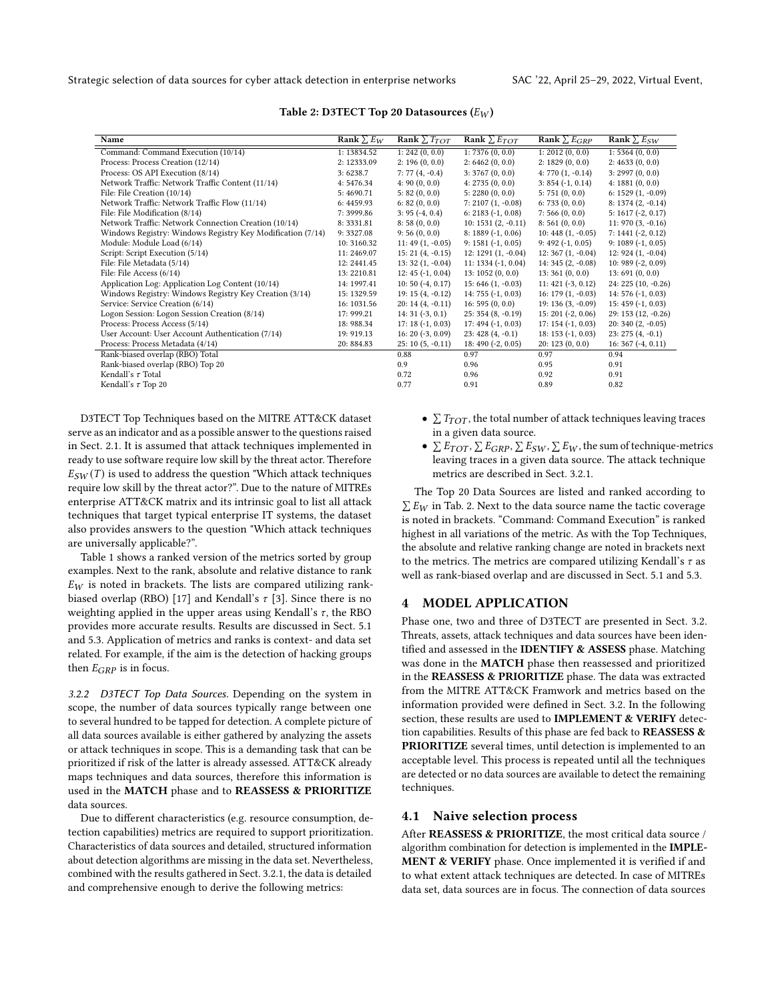<span id="page-4-1"></span>Strategic selection of data sources for cyber attack detection in enterprise networks SAC '22, April 25–29, 2022, Virtual Event,

| Name                                                       | Rank $\sum E_W$ | Rank $\Sigma T_{TOT}$ | Rank $\sum E_{TOT}$   | Rank $\sum E_{GRP}$  | Rank $\sum E_{SW}$   |
|------------------------------------------------------------|-----------------|-----------------------|-----------------------|----------------------|----------------------|
| Command: Command Execution (10/14)                         | 1: 13834.52     | 1: 242(0, 0.0)        | 1: 7376(0, 0.0)       | 1: 2012(0, 0.0)      | 1: 5364(0, 0.0)      |
| Process: Process Creation (12/14)                          | 2: 12333.09     | 2: 196(0, 0.0)        | 2:6462(0, 0.0)        | 2: 1829(0, 0.0)      | 2: 4633(0, 0.0)      |
| Process: OS API Execution (8/14)                           | 3:6238.7        | $7:77(4,-0.4)$        | 3:3767(0, 0.0)        | $4:770(1,-0.14)$     | 3: 2997(0, 0.0)      |
| Network Traffic: Network Traffic Content (11/14)           | 4:5476.34       | 4: 90(0, 0.0)         | 4: 2735(0, 0.0)       | $3: 854 (-1, 0.14)$  | 4: 1881(0, 0.0)      |
| File: File Creation (10/14)                                | 5:4690.71       | 5: 82(0, 0.0)         | 5: 2280(0, 0.0)       | 5:751(0, 0.0)        | $6: 1529(1, -0.09)$  |
| Network Traffic: Network Traffic Flow (11/14)              | 6:4459.93       | 6: 82(0, 0.0)         | $7: 2107(1, -0.08)$   | 6: 733(0, 0.0)       | $8: 1374(2, -0.14)$  |
| File: File Modification (8/14)                             | 7:3999.86       | $3: 95(-4, 0.4)$      | $6: 2183 (-1, 0.08)$  | 7:566(0, 0.0)        | $5: 1617 (-2, 0.17)$ |
| Network Traffic: Network Connection Creation (10/14)       | 8:3331.81       | 8:58(0, 0.0)          | $10: 1531 (2, -0.11)$ | 8: 561(0, 0.0)       | $11:970(3,-0.16)$    |
| Windows Registry: Windows Registry Key Modification (7/14) | 9:3327.08       | 9:56(0, 0.0)          | $8:1889(-1, 0.06)$    | $10:448(1,-0.05)$    | $7: 1441 (-2, 0.12)$ |
| Module: Module Load (6/14)                                 | 10:3160.32      | $11:49(1,-0.05)$      | $9: 1581 (-1, 0.05)$  | $9:492(-1, 0.05)$    | $9: 1089 (-1, 0.05)$ |
| Script: Script Execution (5/14)                            | 11:2469.07      | $15: 21(4, -0.15)$    | $12:1291(1,-0.04)$    | $12:367(1,-0.04)$    | $12: 924(1, -0.04)$  |
| File: File Metadata (5/14)                                 | 12: 2441.45     | $13:32(1, -0.04)$     | $11: 1334 (-1, 0.04)$ | 14: 345 (2, -0.08)   | $10:989(-2, 0.09)$   |
| File: File Access (6/14)                                   | 13:2210.81      | $12: 45 (-1, 0.04)$   | 13: 1052(0, 0.0)      | 13:361(0, 0.0)       | 13:691(0, 0.0)       |
| Application Log: Application Log Content (10/14)           | 14: 1997.41     | $10:50(-4, 0.17)$     | $15:646(1, -0.03)$    | $11: 421 (-3, 0.12)$ | 24: 225 (10, -0.26)  |
| Windows Registry: Windows Registry Key Creation (3/14)     | 15: 1329.59     | $19: 15(4, -0.12)$    | 14: $755 (-1, 0.03)$  | $16: 179(1, -0.03)$  | 14: $576$ (-1, 0.03) |
| Service: Service Creation (6/14)                           | 16: 1031.56     | $20: 14(4, -0.11)$    | 16: 595(0, 0.0)       | $19:136(3,-0.09)$    | $15:459(-1, 0.03)$   |
| Logon Session: Logon Session Creation (8/14)               | 17: 999.21      | $14:31(-3, 0.1)$      | $25:354(8,-0.19)$     | $15:201(-2, 0.06)$   | 29: 153 (12, -0.26)  |
| Process: Process Access (5/14)                             | 18: 988.34      | $17:18(-1, 0.03)$     | $17:494(-1, 0.03)$    | $17: 154 (-1, 0.03)$ | $20:340(2,-0.05)$    |
| User Account: User Account Authentication (7/14)           | 19: 919.13      | $16: 20 (-3, 0.09)$   | $23:428(4,-0.1)$      | $18: 153 (-1, 0.03)$ | $23: 275(4, -0.1)$   |
| Process: Process Metadata (4/14)                           | 20: 884.83      | $25:10(5,-0.11)$      | $18:490(-2, 0.05)$    | 20:123(0, 0.0)       | $16:367(-4, 0.11)$   |
| Rank-biased overlap (RBO) Total                            |                 | 0.88                  | 0.97                  | 0.97                 | 0.94                 |
| Rank-biased overlap (RBO) Top 20                           |                 | 0.9                   | 0.96                  | 0.95                 | 0.91                 |
| Kendall's $\tau$ Total                                     |                 | 0.72                  | 0.96                  | 0.92                 | 0.91                 |
| Kendall's $\tau$ Top 20                                    |                 | 0.77                  | 0.91                  | 0.89                 | 0.82                 |

## Table 2: D3TECT Top 20 Datasources  $(E_W)$

D3TECT Top Techniques based on the MITRE ATT&CK dataset serve as an indicator and as a possible answer to the questions raised in Sect. [2.1.](#page-1-1) It is assumed that attack techniques implemented in ready to use software require low skill by the threat actor. Therefore  $E_{SW}(T)$  is used to address the question "Which attack techniques require low skill by the threat actor?". Due to the nature of MITREs enterprise ATT&CK matrix and its intrinsic goal to list all attack techniques that target typical enterprise IT systems, the dataset also provides answers to the question "Which attack techniques are universally applicable?".

Table [1](#page-3-2) shows a ranked version of the metrics sorted by group examples. Next to the rank, absolute and relative distance to rank  $E_W$  is noted in brackets. The lists are compared utilizing rank-biased overlap (RBO) [\[17\]](#page-9-8) and Kendall's  $\tau$  [\[3\]](#page-9-9). Since there is no weighting applied in the upper areas using Kendall's  $\tau$ , the RBO provides more accurate results. Results are discussed in Sect. [5.1](#page-6-1) and [5.3.](#page-7-0) Application of metrics and ranks is context- and data set related. For example, if the aim is the detection of hacking groups then  $E_{GRP}$  is in focus.

<span id="page-4-2"></span>3.2.2 D3TECT Top Data Sources. Depending on the system in scope, the number of data sources typically range between one to several hundred to be tapped for detection. A complete picture of all data sources available is either gathered by analyzing the assets or attack techniques in scope. This is a demanding task that can be prioritized if risk of the latter is already assessed. ATT&CK already maps techniques and data sources, therefore this information is used in the MATCH phase and to REASSESS & PRIORITIZE data sources.

Due to different characteristics (e.g. resource consumption, detection capabilities) metrics are required to support prioritization. Characteristics of data sources and detailed, structured information about detection algorithms are missing in the data set. Nevertheless, combined with the results gathered in Sect. [3.2.1,](#page-3-3) the data is detailed and comprehensive enough to derive the following metrics:

- $\sum T_{TOT}$ , the total number of attack techniques leaving traces in a given data source.
- $\sum E_{TOT}, \sum E_{GRP}, \sum E_{SW}, \sum E_{W}$ , the sum of technique-metrics leaving traces in a given data source. The attack technique metrics are described in Sect. [3.2.1.](#page-3-4)

The Top 20 Data Sources are listed and ranked according to  $\sum E_W$  in Tab. [2.](#page-4-1) Next to the data source name the tactic coverage is noted in brackets. "Command: Command Execution" is ranked highest in all variations of the metric. As with the Top Techniques, the absolute and relative ranking change are noted in brackets next to the metrics. The metrics are compared utilizing Kendall's  $\tau$  as well as rank-biased overlap and are discussed in Sect. [5.1](#page-6-1) and [5.3.](#page-7-0)

# <span id="page-4-0"></span>**MODEL APPLICATION**

Phase one, two and three of D3TECT are presented in Sect. [3.2.](#page-3-5) Threats, assets, attack techniques and data sources have been identified and assessed in the **IDENTIFY & ASSESS** phase. Matching was done in the MATCH phase then reassessed and prioritized in the REASSESS & PRIORITIZE phase. The data was extracted from the MITRE ATT&CK Framwork and metrics based on the information provided were defined in Sect. [3.2.](#page-3-5) In the following section, these results are used to IMPLEMENT & VERIFY detection capabilities. Results of this phase are fed back to REASSESS & PRIORITIZE several times, until detection is implemented to an acceptable level. This process is repeated until all the techniques are detected or no data sources are available to detect the remaining techniques.

### <span id="page-4-3"></span>4.1 Naive selection process

After REASSESS & PRIORITIZE, the most critical data source / algorithm combination for detection is implemented in the IMPLE-MENT & VERIFY phase. Once implemented it is verified if and to what extent attack techniques are detected. In case of MITREs data set, data sources are in focus. The connection of data sources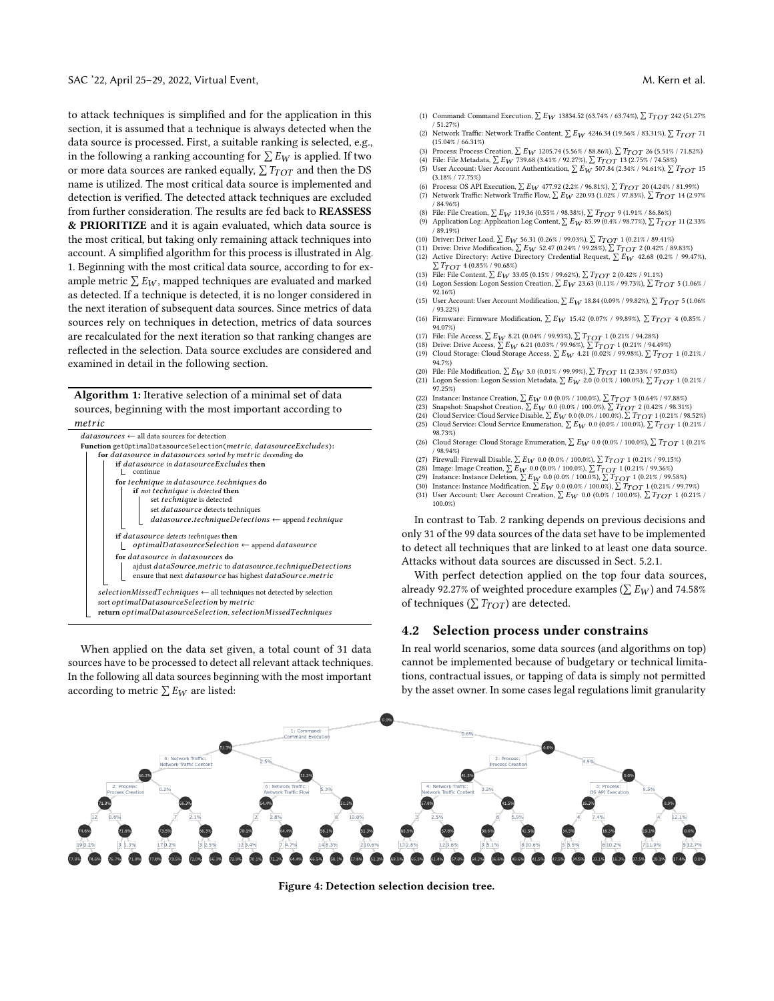to attack techniques is simplified and for the application in this section, it is assumed that a technique is always detected when the data source is processed. First, a suitable ranking is selected, e.g., in the following a ranking accounting for  $\sum E_W$  is applied. If two or more data sources are ranked equally,  $\sum T_{TOT}$  and then the DS name is utilized. The most critical data source is implemented and detection is verified. The detected attack techniques are excluded from further consideration. The results are fed back to REASSESS & PRIORITIZE and it is again evaluated, which data source is the most critical, but taking only remaining attack techniques into account. A simplified algorithm for this process is illustrated in Alg. [1.](#page-5-0) Beginning with the most critical data source, according to for example metric  $\sum E_W$ , mapped techniques are evaluated and marked as detected. If a technique is detected, it is no longer considered in the next iteration of subsequent data sources. Since metrics of data sources rely on techniques in detection, metrics of data sources are recalculated for the next iteration so that ranking changes are reflected in the selection. Data source excludes are considered and examined in detail in the following section.

Algorithm 1: Iterative selection of a minimal set of data sources, beginning with the most important according to

<span id="page-5-0"></span>

When applied on the data set given, a total count of 31 data sources have to be processed to detect all relevant attack techniques. In the following all data sources beginning with the most important according to metric  $\sum E_W$  are listed:

- (1) Command: Command Execution,  $\sum E_W$  13834.52 (63.74% / 63.74%),  $\sum T_{TOT}$  242 (51.27%) / 51.27%)
- (2) Network Traffic: Network Traffic Content,  $\sum E_W$  4246.34 (19.56% / 83.31%),  $\sum T_{TOT}$  71  $(15.04\% / 66.31\%)$
- (3) Process: Process Creation,  $\sum E_W$  1205.74 (5.56% / 88.86%),  $\sum T_{TOT}$  26 (5.51% / 71.82%)<br>(4) File: File Metadata,  $\sum E_W$  739.68 (3.41% / 92.27%),  $\sum T_{TOT}$  13 (2.75% / 74.58%)
- (5) User Account: User Account Authentication,  $\sum E_W$  507.84 (2.34% / 94.61%),  $\sum T_{TOT}$  15 (3.18% / 77.75%)
- (6) Process: OS API Execution,  $\sum E_W$  477.92 (2.2% / 96.81%),  $\sum T_{TOT}$  20 (4.24% / 81.99%) (7) Network Traffic: Network Traffic Flow,  $\sum E_W$  220.93 (1.02% / 97.83%),  $\sum T_{TOT}$  14 (2.97% / 84.96%)
- (8) File: File Creation,  $\sum E_W$  119.36 (0.55% / 98.38%),  $\sum T_{TOT}$  9 (1.91% / 86.86%)
- (9) Application Log: Application Log Content,  $\sum E_W 85.99 (0.4\% / 98.77\%)$ ,  $\sum T_{TOT}$  11 (2.33%) / 89.19%)
- (10) Driver: Driver Load,  $\sum E_W$  56.31 (0.26% / 99.03%),  $\sum T_{TOT}$  1 (0.21% / 89.41%)<br>(11) Drive: Drive Modification,  $\sum E_W$  52.47 (0.24% / 99.28%),  $\sum T_{TOT}$  2 (0.42% / 89.83%)
- (12) Active Directory: Active Directory Credential Request,  $\sum E_W$  42.68 (0.2% / 99.47%),  $\sum T_{TOT}$  4 (0.85% / 90.68%)  $\sum T_{TOT}$  4 (0.85% / 90.68%)
- (13) File: File Content,  $\sum E_W 33.05$  (0.15% / 99.62%),  $\sum T_{TOT}$  2 (0.42% / 91.1%) (14) Logon Session: Logon Session Creation,  $\sum E_W$  23.63 (0.11% / 99.73%),  $\sum T_{TOT}$  5 (1.06% /
- 92.16%)
- (15) User Account: User Account Modification,  $\sum E_{\bm{W}}$  18.84 (0.09% / 99.82%),  $\sum T_{TOT}$  5 (1.06%) / 93.22%)
- (16) Firmware: Firmware Modification,  $\sum E_W$  15.42 (0.07% / 99.89%),  $\sum T_{TOT}$  4 (0.85% / 94.07%)
- (17) File: File Access,  $\sum E_W$  8.21 (0.04% / 99.93%),  $\sum T_{TOT}$  1 (0.21% / 94.28%)
- (18) Drive: Drive Access,  $\sum E_W$  6.21 (0.03% / 99.96%),  $\sum T_{TOT}$  1 (0.21% / 94.49%)<br>(19) Cloud Storage: Cloud Storage Access,  $\sum E_W$  4.21 (0.02% / 99.98%),  $\sum T_{TOT}$  1 (0.21% / 94.7%)
- (20) File: File Modification,  $\sum E_W 3.0 (0.01\%/99.99\%)$ ,  $\sum T_{TOT} 11 (2.33\%/97.03\%)$ <br>(21) Logon Session: Logon Session Metadata,  $\sum E_W 2.0 (0.01\%/100.0\%)$ ,  $\sum T_{TOT} 1 (0.21\%/100.0\%)$
- 97.25%) (22) Instance: Instance Creation,  $\sum E_W$  0.0 (0.0% / 100.0%),  $\sum T_{TOT}$  3 (0.64% / 97.88%)
- (23) Snapshot: Snapshot Creation,  $\sum E_{\bm{W}}$  0.0 (0.0% / 100.0%),  $\sum T_{TOT}$  2 (0.42% / 98.31%)
- (24) Cloud Service: Cloud Service Disable,  $\sum E_W$  0.0 (0.0% / 100.0%),  $\sum T_{TOT}$  1 (0.21% / 98.52%)<br>(25) Cloud Service: Cloud Service Enumeration,  $\sum E_W$  0.0 (0.0% / 100.0%),  $\sum T_{TOT}$  1 (0.21% /
- 98.73%) (26) Cloud Storage: Cloud Storage Enumeration,  $\sum E_{\small{W}}$  0.0 (0.0% / 100.0%),  $\sum T_{TOT}$  1 (0.21%
- / 98.94%)
- (27) Firewall: Firewall Disable,  $\sum E_{\bm{W}}$  0.0 (0.0% / 100.0%),  $\sum T_{TOT}$  1 (0.21% / 99.15%)
- (28) Image: Image Creation,  $\sum E_W 0.0 (0.0\% / 100.0\%)$ ,  $\sum T_{TOT} 1 (0.21\% / 99.36\%)$ <br>(29) Instance: Instance Deletion,  $\sum E_W 0.0 (0.0\% / 100.0\%)$ ,  $\sum T_{TOT} 1 (0.21\% / 99.58\%)$ <br>(30) Instance: Instance Modification,  $\sum E_W 0.0 (0.0$
- 
- (31) User Account: User Account Creation,  $\sum E_W$  0.0 (0.0% / 100.0%),  $\sum T_{TOT}$  1 (0.21% / 100.0%)

In contrast to Tab. [2](#page-4-1) ranking depends on previous decisions and only 31 of the 99 data sources of the data set have to be implemented to detect all techniques that are linked to at least one data source. Attacks without data sources are discussed in Sect. [5.2.1.](#page-7-1)

With perfect detection applied on the top four data sources, already 92.27% of weighted procedure examples ( $\sum E_W$ ) and 74.58% of techniques ( $\sum T_{TOT}$ ) are detected.

### <span id="page-5-2"></span>4.2 Selection process under constrains

In real world scenarios, some data sources (and algorithms on top) cannot be implemented because of budgetary or technical limitations, contractual issues, or tapping of data is simply not permitted by the asset owner. In some cases legal regulations limit granularity

<span id="page-5-1"></span>

Figure 4: Detection selection decision tree.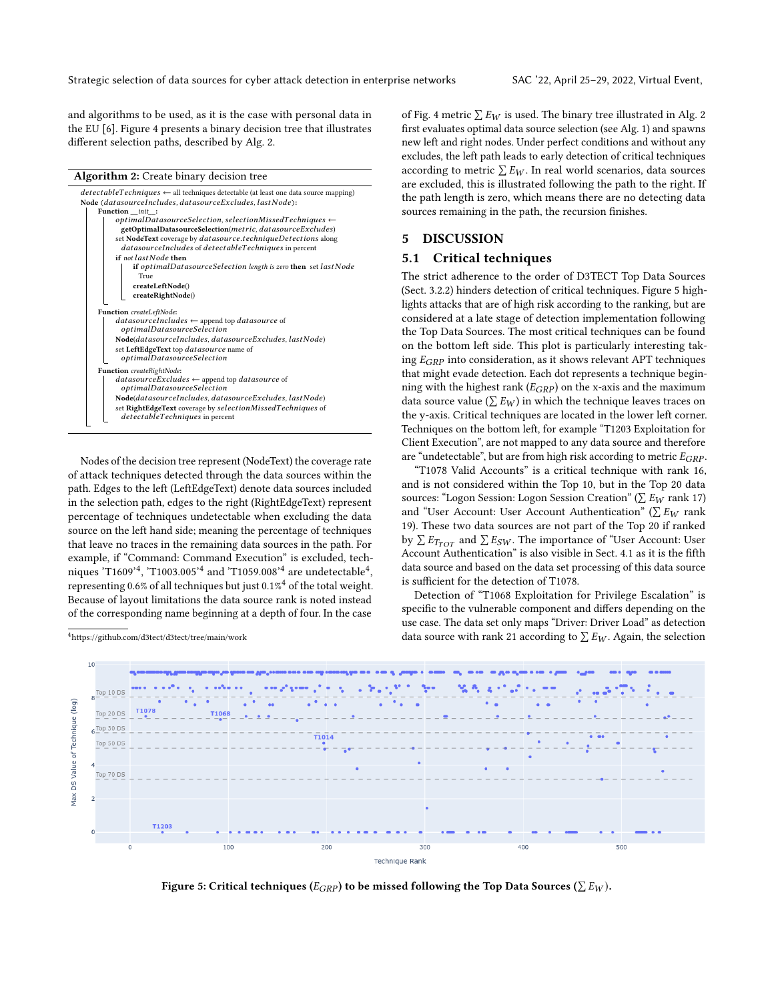Strategic selection of data sources for cyber attack detection in enterprise networks SAC '22, April 25–29, 2022, Virtual Event,

and algorithms to be used, as it is the case with personal data in the EU [\[6\]](#page-9-10). Figure [4](#page-5-1) presents a binary decision tree that illustrates different selection paths, described by Alg. [2.](#page-6-2)

#### Algorithm 2: Create binary decision tree

<span id="page-6-2"></span>

Nodes of the decision tree represent (NodeText) the coverage rate of attack techniques detected through the data sources within the path. Edges to the left (LeftEdgeText) denote data sources included in the selection path, edges to the right (RightEdgeText) represent percentage of techniques undetectable when excluding the data source on the left hand side; meaning the percentage of techniques that leave no traces in the remaining data sources in the path. For example, if "Command: Command Execution" is excluded, techniques 'T1609'<sup>4</sup>, 'T1003.005'<sup>4</sup> and 'T1059.008'<sup>4</sup> are undetectable<sup>4</sup>, representing 0.6% of all techniques but just 0.1% $^4$  of the total weight. Because of layout limitations the data source rank is noted instead of the corresponding name beginning at a depth of four. In the case



of Fig. [4](#page-5-1) metric  $\sum E_W$  is used. The binary tree illustrated in Alg. [2](#page-6-2) first evaluates optimal data source selection (see Alg. [1\)](#page-5-0) and spawns new left and right nodes. Under perfect conditions and without any excludes, the left path leads to early detection of critical techniques according to metric  $\sum E_W$ . In real world scenarios, data sources are excluded, this is illustrated following the path to the right. If the path length is zero, which means there are no detecting data sources remaining in the path, the recursion finishes.

# <span id="page-6-0"></span>5 DISCUSSION

## <span id="page-6-1"></span>5.1 Critical techniques

The strict adherence to the order of D3TECT Top Data Sources (Sect. [3.2.2\)](#page-4-2) hinders detection of critical techniques. Figure [5](#page-6-3) highlights attacks that are of high risk according to the ranking, but are considered at a late stage of detection implementation following the Top Data Sources. The most critical techniques can be found on the bottom left side. This plot is particularly interesting taking  $E_{GRP}$  into consideration, as it shows relevant APT techniques that might evade detection. Each dot represents a technique beginning with the highest rank ( $E_{GRP}$ ) on the x-axis and the maximum data source value ( $\sum E_W$ ) in which the technique leaves traces on the y-axis. Critical techniques are located in the lower left corner. Techniques on the bottom left, for example "T1203 Exploitation for Client Execution", are not mapped to any data source and therefore are "undetectable", but are from high risk according to metric  $E_{GRP}$ .

"T1078 Valid Accounts" is a critical technique with rank 16, and is not considered within the Top 10, but in the Top 20 data sources: "Logon Session: Logon Session Creation" ( $\sum E_W$  rank 17) and "User Account: User Account Authentication" ( $\sum E_W$  rank 19). These two data sources are not part of the Top 20 if ranked by  $\sum E_{T_{TOT}}$  and  $\sum E_{SW}$ . The importance of "User Account: User Account Authentication" is also visible in Sect. [4.1](#page-4-3) as it is the fifth data source and based on the data set processing of this data source is sufficient for the detection of T1078.

Detection of "T1068 Exploitation for Privilege Escalation" is specific to the vulnerable component and differs depending on the use case. The data set only maps "Driver: Driver Load" as detection data source with rank 21 according to  $\sum E_W$ . Again, the selection

<span id="page-6-3"></span>

Figure 5: Critical techniques  $(E_{GRP})$  to be missed following the Top Data Sources ( $\sum E_W$ ).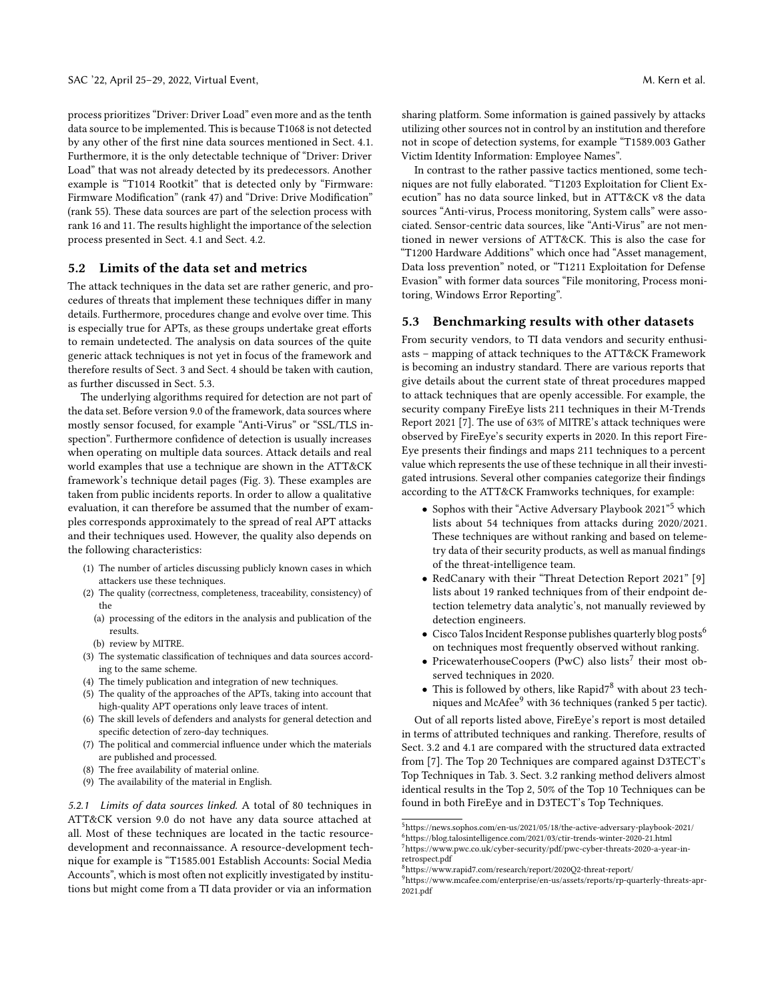process prioritizes "Driver: Driver Load" even more and as the tenth data source to be implemented. This is because T1068 is not detected by any other of the first nine data sources mentioned in Sect. [4.1.](#page-4-3) Furthermore, it is the only detectable technique of "Driver: Driver Load" that was not already detected by its predecessors. Another example is "T1014 Rootkit" that is detected only by "Firmware: Firmware Modification" (rank 47) and "Drive: Drive Modification" (rank 55). These data sources are part of the selection process with rank 16 and 11. The results highlight the importance of the selection process presented in Sect. [4.1](#page-4-3) and Sect. [4.2.](#page-5-2)

### 5.2 Limits of the data set and metrics

The attack techniques in the data set are rather generic, and procedures of threats that implement these techniques differ in many details. Furthermore, procedures change and evolve over time. This is especially true for APTs, as these groups undertake great efforts to remain undetected. The analysis on data sources of the quite generic attack techniques is not yet in focus of the framework and therefore results of Sect. [3](#page-2-0) and Sect. [4](#page-4-0) should be taken with caution, as further discussed in Sect. [5.3.](#page-7-0)

The underlying algorithms required for detection are not part of the data set. Before version 9.0 of the framework, data sources where mostly sensor focused, for example "Anti-Virus" or "SSL/TLS inspection". Furthermore confidence of detection is usually increases when operating on multiple data sources. Attack details and real world examples that use a technique are shown in the ATT&CK framework's technique detail pages (Fig. [3\)](#page-2-2). These examples are taken from public incidents reports. In order to allow a qualitative evaluation, it can therefore be assumed that the number of examples corresponds approximately to the spread of real APT attacks and their techniques used. However, the quality also depends on the following characteristics:

- (1) The number of articles discussing publicly known cases in which attackers use these techniques.
- (2) The quality (correctness, completeness, traceability, consistency) of the
	- (a) processing of the editors in the analysis and publication of the results.
	- (b) review by MITRE.
- (3) The systematic classification of techniques and data sources according to the same scheme.
- (4) The timely publication and integration of new techniques.
- (5) The quality of the approaches of the APTs, taking into account that high-quality APT operations only leave traces of intent.
- (6) The skill levels of defenders and analysts for general detection and specific detection of zero-day techniques.
- (7) The political and commercial influence under which the materials are published and processed.
- (8) The free availability of material online.
- (9) The availability of the material in English.

<span id="page-7-1"></span>5.2.1 Limits of data sources linked. A total of 80 techniques in ATT&CK version 9.0 do not have any data source attached at all. Most of these techniques are located in the tactic resourcedevelopment and reconnaissance. A resource-development technique for example is "T1585.001 Establish Accounts: Social Media Accounts", which is most often not explicitly investigated by institutions but might come from a TI data provider or via an information

sharing platform. Some information is gained passively by attacks utilizing other sources not in control by an institution and therefore not in scope of detection systems, for example "T1589.003 Gather Victim Identity Information: Employee Names".

In contrast to the rather passive tactics mentioned, some techniques are not fully elaborated. "T1203 Exploitation for Client Execution" has no data source linked, but in ATT&CK v8 the data sources "Anti-virus, Process monitoring, System calls" were associated. Sensor-centric data sources, like "Anti-Virus" are not mentioned in newer versions of ATT&CK. This is also the case for "T1200 Hardware Additions" which once had "Asset management, Data loss prevention" noted, or "T1211 Exploitation for Defense Evasion" with former data sources "File monitoring, Process monitoring, Windows Error Reporting".

#### <span id="page-7-0"></span>5.3 Benchmarking results with other datasets

From security vendors, to TI data vendors and security enthusiasts – mapping of attack techniques to the ATT&CK Framework is becoming an industry standard. There are various reports that give details about the current state of threat procedures mapped to attack techniques that are openly accessible. For example, the security company FireEye lists 211 techniques in their M-Trends Report 2021 [\[7\]](#page-9-11). The use of 63% of MITRE's attack techniques were observed by FireEye's security experts in 2020. In this report Fire-Eye presents their findings and maps 211 techniques to a percent value which represents the use of these technique in all their investigated intrusions. Several other companies categorize their findings according to the ATT&CK Framworks techniques, for example:

- Sophos with their "Active Adversary Playbook 2021"[5](#page-7-2) which lists about 54 techniques from attacks during 2020/2021. These techniques are without ranking and based on telemetry data of their security products, as well as manual findings of the threat-intelligence team.
- RedCanary with their "Threat Detection Report 2021" [\[9\]](#page-9-12) lists about 19 ranked techniques from of their endpoint detection telemetry data analytic's, not manually reviewed by detection engineers.
- Cisco Talos Incident Response publishes quarterly blog posts<sup>[6](#page-7-3)</sup> on techniques most frequently observed without ranking.
- PricewaterhouseCoopers (PwC) also lists<sup>[7](#page-7-4)</sup> their most observed techniques in 2020.
- This is followed by others, like Rapid $7^8$  $7^8$  with about 23 tech-niques and McAfee<sup>[9](#page-7-6)</sup> with 36 techniques (ranked 5 per tactic).

Out of all reports listed above, FireEye's report is most detailed in terms of attributed techniques and ranking. Therefore, results of Sect. [3.2](#page-3-5) and [4.1](#page-4-3) are compared with the structured data extracted from [\[7\]](#page-9-11). The Top 20 Techniques are compared against D3TECT's Top Techniques in Tab. [3.](#page-8-0) Sect. [3.2](#page-3-5) ranking method delivers almost identical results in the Top 2, 50% of the Top 10 Techniques can be found in both FireEye and in D3TECT's Top Techniques.

<span id="page-7-3"></span><span id="page-7-2"></span> $^5$ https://news.sophos.com/en-us/2021/05/18/the-active-adversary-playbook-2021/ <sup>6</sup>https://blog.talosintelligence.com/2021/03/ctir-trends-winter-2020-21.html <sup>7</sup>https://www.pwc.co.uk/cyber-security/pdf/pwc-cyber-threats-2020-a-year-in-

<span id="page-7-5"></span><span id="page-7-4"></span>retrospect.pdf <sup>8</sup>https://www.rapid7.com/research/report/2020Q2-threat-report/

<span id="page-7-6"></span> $^{9}$ https://www.mcafee.com/enterprise/en-us/assets/reports/rp-quarterly-threats-apr-2021.pdf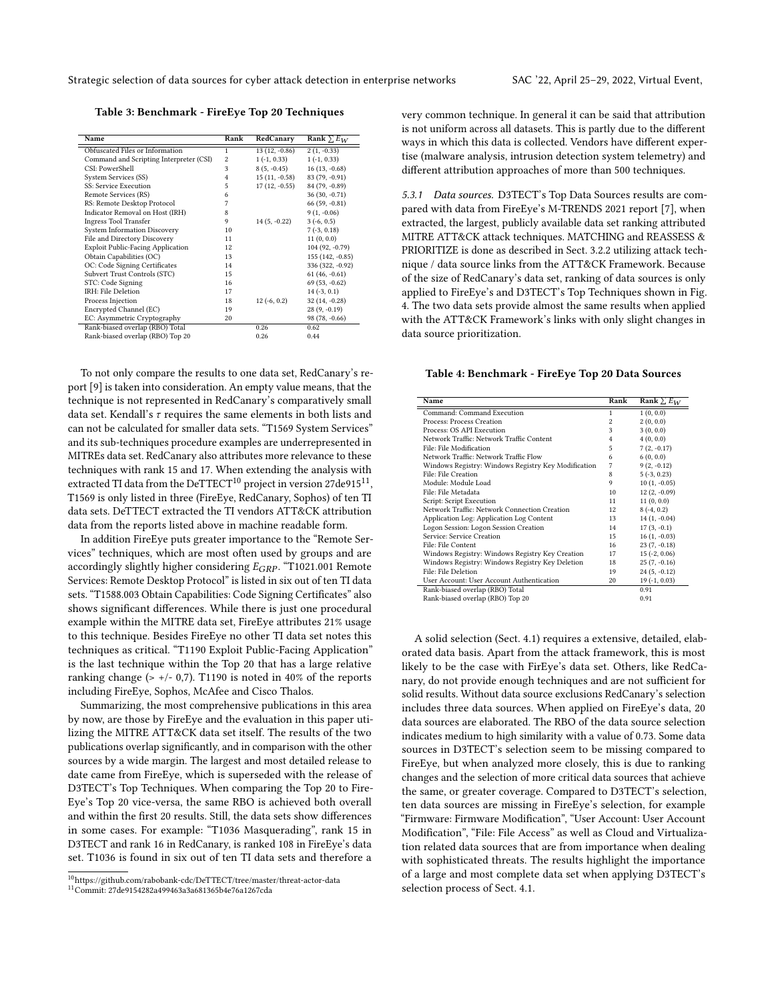<span id="page-8-0"></span>Table 3: Benchmark - FireEye Top 20 Techniques

| Name                                     | Rank           | RedCanary       | Rank $\sum E_W$  |
|------------------------------------------|----------------|-----------------|------------------|
| Obfuscated Files or Information          | 1              | $13(12, -0.86)$ | $2(1, -0.33)$    |
| Command and Scripting Interpreter (CSI)  | $\overline{c}$ | $1(-1, 0.33)$   | $1(-1, 0.33)$    |
| CSI: PowerShell                          | 3              | $8(5, -0.45)$   | $16(13, -0.68)$  |
| System Services (SS)                     | 4              | $15(11, -0.58)$ | 83 (79, -0.91)   |
| SS: Service Execution                    | 5              | $17(12, -0.55)$ | 84 (79, -0.89)   |
| Remote Services (RS)                     | 6              |                 | $36(30, -0.71)$  |
| RS: Remote Desktop Protocol              | 7              |                 | $66(59, -0.81)$  |
| Indicator Removal on Host (IRH)          | 8              |                 | $9(1, -0.06)$    |
| <b>Ingress Tool Transfer</b>             | 9              | $14(5, -0.22)$  | $3(-6, 0.5)$     |
| <b>System Information Discovery</b>      | 10             |                 | $7(-3, 0.18)$    |
| File and Directory Discovery             | 11             |                 | 11(0, 0.0)       |
| <b>Exploit Public-Facing Application</b> | 12             |                 | 104 (92, -0.79)  |
| Obtain Capabilities (OC)                 | 13             |                 | 155 (142, -0.85) |
| OC: Code Signing Certificates            | 14             |                 | 336 (322, -0.92) |
| Subvert Trust Controls (STC)             | 15             |                 | $61(46, -0.61)$  |
| STC: Code Signing                        | 16             |                 | $69(53, -0.62)$  |
| IRH: File Deletion                       | 17             |                 | $14(-3, 0.1)$    |
| Process Injection                        | 18             | $12(-6, 0.2)$   | $32(14, -0.28)$  |
| Encrypted Channel (EC)                   | 19             |                 | $28(9, -0.19)$   |
| EC: Asymmetric Cryptography              | 20             |                 | $98(78, -0.66)$  |
| Rank-biased overlap (RBO) Total          |                | 0.26            | 0.62             |
| Rank-biased overlap (RBO) Top 20         |                | 0.26            | 0.44             |

To not only compare the results to one data set, RedCanary's report [\[9\]](#page-9-12) is taken into consideration. An empty value means, that the technique is not represented in RedCanary's comparatively small data set. Kendall's  $\tau$  requires the same elements in both lists and can not be calculated for smaller data sets. "T1569 System Services" and its sub-techniques procedure examples are underrepresented in MITREs data set. RedCanary also attributes more relevance to these techniques with rank 15 and 17. When extending the analysis with extracted TI data from the  $\mathrm{DeTTECT^{10}}$  $\mathrm{DeTTECT^{10}}$  $\mathrm{DeTTECT^{10}}$  project in version 27de915 $^{11},$  $^{11},$  $^{11},$ T1569 is only listed in three (FireEye, RedCanary, Sophos) of ten TI data sets. DeTTECT extracted the TI vendors ATT&CK attribution data from the reports listed above in machine readable form.

In addition FireEye puts greater importance to the "Remote Services" techniques, which are most often used by groups and are accordingly slightly higher considering  $E_{GRP}$ . "T1021.001 Remote Services: Remote Desktop Protocol" is listed in six out of ten TI data sets. "T1588.003 Obtain Capabilities: Code Signing Certificates" also shows significant differences. While there is just one procedural example within the MITRE data set, FireEye attributes 21% usage to this technique. Besides FireEye no other TI data set notes this techniques as critical. "T1190 Exploit Public-Facing Application" is the last technique within the Top 20 that has a large relative ranking change ( $> +/- 0.7$ ). T1190 is noted in 40% of the reports including FireEye, Sophos, McAfee and Cisco Thalos.

Summarizing, the most comprehensive publications in this area by now, are those by FireEye and the evaluation in this paper utilizing the MITRE ATT&CK data set itself. The results of the two publications overlap significantly, and in comparison with the other sources by a wide margin. The largest and most detailed release to date came from FireEye, which is superseded with the release of D3TECT's Top Techniques. When comparing the Top 20 to Fire-Eye's Top 20 vice-versa, the same RBO is achieved both overall and within the first 20 results. Still, the data sets show differences in some cases. For example: "T1036 Masquerading", rank 15 in D3TECT and rank 16 in RedCanary, is ranked 108 in FireEye's data set. T1036 is found in six out of ten TI data sets and therefore a

very common technique. In general it can be said that attribution is not uniform across all datasets. This is partly due to the different ways in which this data is collected. Vendors have different expertise (malware analysis, intrusion detection system telemetry) and different attribution approaches of more than 500 techniques.

5.3.1 Data sources. D3TECT's Top Data Sources results are compared with data from FireEye's M-TRENDS 2021 report [\[7\]](#page-9-11), when extracted, the largest, publicly available data set ranking attributed MITRE ATT&CK attack techniques. MATCHING and REASSESS & PRIORITIZE is done as described in Sect. [3.2.2](#page-4-2) utilizing attack technique / data source links from the ATT&CK Framework. Because of the size of RedCanary's data set, ranking of data sources is only applied to FireEye's and D3TECT's Top Techniques shown in Fig. [4.](#page-8-3) The two data sets provide almost the same results when applied with the ATT&CK Framework's links with only slight changes in data source prioritization.

<span id="page-8-3"></span>Table 4: Benchmark - FireEye Top 20 Data Sources

| Name                                                | Rank           | Rank $\sum E_W$ |
|-----------------------------------------------------|----------------|-----------------|
| Command: Command Execution                          | 1              | 1(0, 0.0)       |
| Process: Process Creation                           | $\overline{c}$ | 2(0, 0.0)       |
| Process: OS API Execution                           | 3              | 3(0, 0.0)       |
| Network Traffic: Network Traffic Content            | $\overline{4}$ | 4(0, 0.0)       |
| File: File Modification                             | 5              | $7(2, -0.17)$   |
| Network Traffic: Network Traffic Flow               | 6              | 6(0, 0.0)       |
| Windows Registry: Windows Registry Key Modification | 7              | $9(2, -0.12)$   |
| File: File Creation                                 | 8              | $5(-3, 0.23)$   |
| Module: Module Load                                 | 9              | $10(1, -0.05)$  |
| File: File Metadata                                 | 10             | $12(2, -0.09)$  |
| Script: Script Execution                            | 11             | 11(0, 0.0)      |
| Network Traffic: Network Connection Creation        | 12             | $8(-4, 0.2)$    |
| Application Log: Application Log Content            | 13             | $14(1, -0.04)$  |
| Logon Session: Logon Session Creation               | 14             | $17(3, -0.1)$   |
| Service: Service Creation                           | 15             | $16(1, -0.03)$  |
| File: File Content                                  | 16             | $23(7, -0.18)$  |
| Windows Registry: Windows Registry Key Creation     | 17             | $15(-2, 0.06)$  |
| Windows Registry: Windows Registry Key Deletion     | 18             | $25(7, -0.16)$  |
| File: File Deletion                                 | 19             | $24(5, -0.12)$  |
| User Account: User Account Authentication           | 20             | $19(-1, 0.03)$  |
| Rank-biased overlap (RBO) Total                     |                | 0.91            |
| Rank-biased overlap (RBO) Top 20                    |                | 0.91            |

A solid selection (Sect. [4.1\)](#page-4-3) requires a extensive, detailed, elaborated data basis. Apart from the attack framework, this is most likely to be the case with FirEye's data set. Others, like RedCanary, do not provide enough techniques and are not sufficient for solid results. Without data source exclusions RedCanary's selection includes three data sources. When applied on FireEye's data, 20 data sources are elaborated. The RBO of the data source selection indicates medium to high similarity with a value of 0.73. Some data sources in D3TECT's selection seem to be missing compared to FireEye, but when analyzed more closely, this is due to ranking changes and the selection of more critical data sources that achieve the same, or greater coverage. Compared to D3TECT's selection, ten data sources are missing in FireEye's selection, for example "Firmware: Firmware Modification", "User Account: User Account Modification", "File: File Access" as well as Cloud and Virtualization related data sources that are from importance when dealing with sophisticated threats. The results highlight the importance of a large and most complete data set when applying D3TECT's selection process of Sect. [4.1.](#page-4-3)

<span id="page-8-1"></span><sup>10</sup>https://github.com/rabobank-cdc/DeTTECT/tree/master/threat-actor-data

<span id="page-8-2"></span><sup>11</sup>Commit: 27de9154282a499463a3a681365b4e76a1267cda